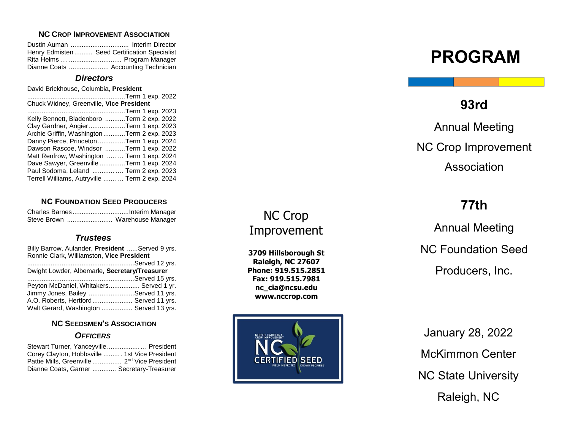#### **NC CROP IMPROVEMENT ASSOCIATION**

| Henry Edmisten  Seed Certification Specialist |
|-----------------------------------------------|
| Rita Helms   Program Manager                  |
| Dianne Coats  Accounting Technician           |

#### *Directors*

David Brickhouse , Columbia, **President**

| Term 1 exp. 2022                                 |
|--------------------------------------------------|
| Chuck Widney, Greenville, Vice President         |
| Term                                 1 exp. 2023 |
| Kelly Bennett, Bladenboro Term 2 exp. 2022       |
| Clay Gardner, AngierTerm 1 exp. 2023             |
| Archie Griffin, Washington Term 2 exp. 2023      |
| Danny Pierce, Princeton Term 1 exp. 2024         |
| Dawson Rascoe, Windsor Term 1 exp. 2022          |
| Matt Renfrow, Washington  Term 1 exp. 2024       |
| Dave Sawyer, Greenville Term 1 exp. 2024         |
| Paul Sodoma, Leland  Term 2 exp. 2023            |
| Terrell Williams, Autryville  Term 2 exp. 2024   |

#### **NC FOUNDATION SEED PRODUCERS**

| Steve Brown  Warehouse Manager |  |
|--------------------------------|--|

## *Trustees*

| Billy Barrow, Aulander, President Served 9 yrs. |  |
|-------------------------------------------------|--|
| Ronnie Clark, Williamston, Vice President       |  |
|                                                 |  |
| Dwight Lowder, Albemarle, Secretary/Treasurer   |  |
|                                                 |  |
| Peyton McDaniel, Whitakers Served 1 yr.         |  |
| Jimmy Jones, Bailey Served 11 yrs.              |  |
| A.O. Roberts, Hertford Served 11 yrs.           |  |
| Walt Gerard, Washington  Served 13 yrs.         |  |

### **NC SEEDSMEN 'S ASSOCIATION** *OFFICERS*

| Stewart Turner, Yanceyville President                    |  |
|----------------------------------------------------------|--|
| Corey Clayton, Hobbsville  1st Vice President            |  |
| Pattie Mills, Greenville  2 <sup>nd</sup> Vice President |  |
| Dianne Coats, Garner  Secretary-Treasurer                |  |

# NC Crop Improvement

**3709 Hillsborough St Raleigh, NC 27607 Phone: 919.515.2851 Fax: 919.515.7981 [nc\\_cia@ncsu.edu](mailto:nc_cia@ncsu.edu) www.nccrop.com**



# **PROGRAM**

# **93rd**

Annual Meeting NC Crop Improvement Association

# **77th**

Annual Meeting NC Foundation Seed Producers, Inc.

January 28, 20 2 2 McKimmon Center NC State University Raleigh, NC